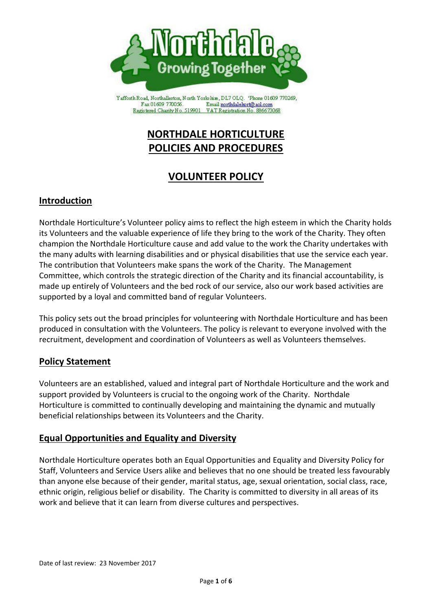

Yafforth Road, Northallerton, North Yorkshire, DL7 OLQ. 'Phone 01609 770269, Fax 01609 770056. Email northdalehort@aol.com Registered Charity No. 519901 VAT Registration No. 886673068

# **NORTHDALE HORTICULTURE POLICIES AND PROCEDURES**

# **VOLUNTEER POLICY**

## **Introduction**

Northdale Horticulture's Volunteer policy aims to reflect the high esteem in which the Charity holds its Volunteers and the valuable experience of life they bring to the work of the Charity. They often champion the Northdale Horticulture cause and add value to the work the Charity undertakes with the many adults with learning disabilities and or physical disabilities that use the service each year. The contribution that Volunteers make spans the work of the Charity. The Management Committee, which controls the strategic direction of the Charity and its financial accountability, is made up entirely of Volunteers and the bed rock of our service, also our work based activities are supported by a loyal and committed band of regular Volunteers.

This policy sets out the broad principles for volunteering with Northdale Horticulture and has been produced in consultation with the Volunteers. The policy is relevant to everyone involved with the recruitment, development and coordination of Volunteers as well as Volunteers themselves.

## **Policy Statement**

Volunteers are an established, valued and integral part of Northdale Horticulture and the work and support provided by Volunteers is crucial to the ongoing work of the Charity. Northdale Horticulture is committed to continually developing and maintaining the dynamic and mutually beneficial relationships between its Volunteers and the Charity.

## **Equal Opportunities and Equality and Diversity**

Northdale Horticulture operates both an Equal Opportunities and Equality and Diversity Policy for Staff, Volunteers and Service Users alike and believes that no one should be treated less favourably than anyone else because of their gender, marital status, age, sexual orientation, social class, race, ethnic origin, religious belief or disability. The Charity is committed to diversity in all areas of its work and believe that it can learn from diverse cultures and perspectives.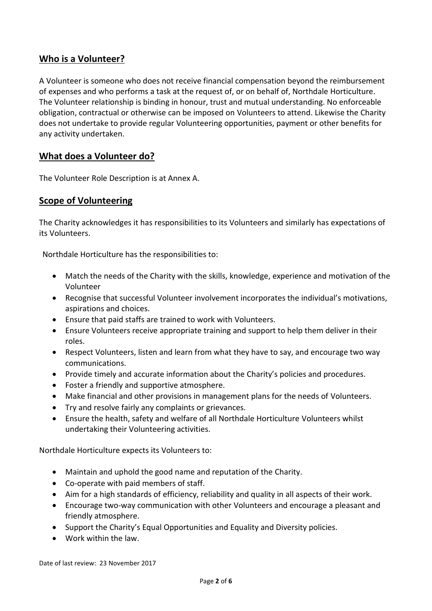## **Who is a Volunteer?**

A Volunteer is someone who does not receive financial compensation beyond the reimbursement of expenses and who performs a task at the request of, or on behalf of, Northdale Horticulture. The Volunteer relationship is binding in honour, trust and mutual understanding. No enforceable obligation, contractual or otherwise can be imposed on Volunteers to attend. Likewise the Charity does not undertake to provide regular Volunteering opportunities, payment or other benefits for any activity undertaken.

## **What does a Volunteer do?**

The Volunteer Role Description is at Annex A.

## **Scope of Volunteering**

The Charity acknowledges it has responsibilities to its Volunteers and similarly has expectations of its Volunteers.

Northdale Horticulture has the responsibilities to:

- Match the needs of the Charity with the skills, knowledge, experience and motivation of the Volunteer
- Recognise that successful Volunteer involvement incorporates the individual's motivations, aspirations and choices.
- Ensure that paid staffs are trained to work with Volunteers.
- Ensure Volunteers receive appropriate training and support to help them deliver in their roles.
- Respect Volunteers, listen and learn from what they have to say, and encourage two way communications.
- Provide timely and accurate information about the Charity's policies and procedures.
- Foster a friendly and supportive atmosphere.
- Make financial and other provisions in management plans for the needs of Volunteers.
- Try and resolve fairly any complaints or grievances.
- Ensure the health, safety and welfare of all Northdale Horticulture Volunteers whilst undertaking their Volunteering activities.

Northdale Horticulture expects its Volunteers to:

- Maintain and uphold the good name and reputation of the Charity.
- Co-operate with paid members of staff.
- Aim for a high standards of efficiency, reliability and quality in all aspects of their work.
- Encourage two-way communication with other Volunteers and encourage a pleasant and friendly atmosphere.
- Support the Charity's Equal Opportunities and Equality and Diversity policies.
- Work within the law.

Date of last review: 23 November 2017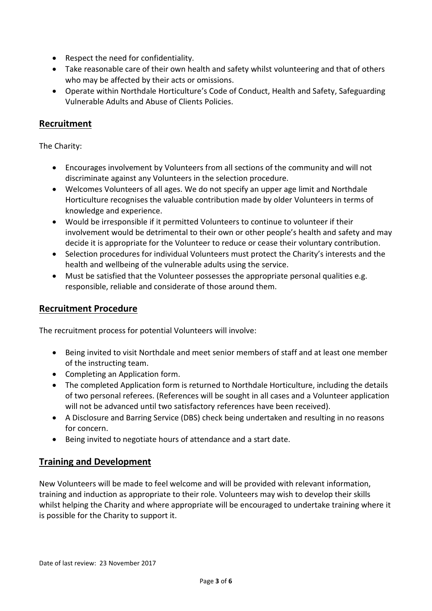- Respect the need for confidentiality.
- Take reasonable care of their own health and safety whilst volunteering and that of others who may be affected by their acts or omissions.
- Operate within Northdale Horticulture's Code of Conduct, Health and Safety, Safeguarding Vulnerable Adults and Abuse of Clients Policies.

## **Recruitment**

The Charity:

- Encourages involvement by Volunteers from all sections of the community and will not discriminate against any Volunteers in the selection procedure.
- Welcomes Volunteers of all ages. We do not specify an upper age limit and Northdale Horticulture recognises the valuable contribution made by older Volunteers in terms of knowledge and experience.
- Would be irresponsible if it permitted Volunteers to continue to volunteer if their involvement would be detrimental to their own or other people's health and safety and may decide it is appropriate for the Volunteer to reduce or cease their voluntary contribution.
- Selection procedures for individual Volunteers must protect the Charity's interests and the health and wellbeing of the vulnerable adults using the service.
- Must be satisfied that the Volunteer possesses the appropriate personal qualities e.g. responsible, reliable and considerate of those around them.

## **Recruitment Procedure**

The recruitment process for potential Volunteers will involve:

- Being invited to visit Northdale and meet senior members of staff and at least one member of the instructing team.
- Completing an Application form.
- The completed Application form is returned to Northdale Horticulture, including the details of two personal referees. (References will be sought in all cases and a Volunteer application will not be advanced until two satisfactory references have been received).
- A Disclosure and Barring Service (DBS) check being undertaken and resulting in no reasons for concern.
- Being invited to negotiate hours of attendance and a start date.

## **Training and Development**

New Volunteers will be made to feel welcome and will be provided with relevant information, training and induction as appropriate to their role. Volunteers may wish to develop their skills whilst helping the Charity and where appropriate will be encouraged to undertake training where it is possible for the Charity to support it.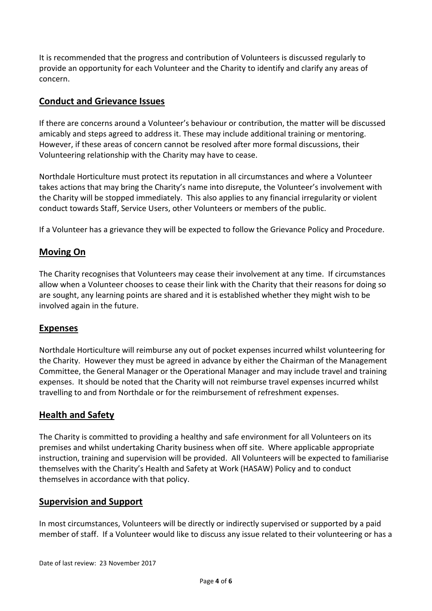It is recommended that the progress and contribution of Volunteers is discussed regularly to provide an opportunity for each Volunteer and the Charity to identify and clarify any areas of concern.

### **Conduct and Grievance Issues**

If there are concerns around a Volunteer's behaviour or contribution, the matter will be discussed amicably and steps agreed to address it. These may include additional training or mentoring. However, if these areas of concern cannot be resolved after more formal discussions, their Volunteering relationship with the Charity may have to cease.

Northdale Horticulture must protect its reputation in all circumstances and where a Volunteer takes actions that may bring the Charity's name into disrepute, the Volunteer's involvement with the Charity will be stopped immediately. This also applies to any financial irregularity or violent conduct towards Staff, Service Users, other Volunteers or members of the public.

If a Volunteer has a grievance they will be expected to follow the Grievance Policy and Procedure.

#### **Moving On**

The Charity recognises that Volunteers may cease their involvement at any time. If circumstances allow when a Volunteer chooses to cease their link with the Charity that their reasons for doing so are sought, any learning points are shared and it is established whether they might wish to be involved again in the future.

#### **Expenses**

Northdale Horticulture will reimburse any out of pocket expenses incurred whilst volunteering for the Charity. However they must be agreed in advance by either the Chairman of the Management Committee, the General Manager or the Operational Manager and may include travel and training expenses. It should be noted that the Charity will not reimburse travel expenses incurred whilst travelling to and from Northdale or for the reimbursement of refreshment expenses.

#### **Health and Safety**

The Charity is committed to providing a healthy and safe environment for all Volunteers on its premises and whilst undertaking Charity business when off site. Where applicable appropriate instruction, training and supervision will be provided. All Volunteers will be expected to familiarise themselves with the Charity's Health and Safety at Work (HASAW) Policy and to conduct themselves in accordance with that policy.

#### **Supervision and Support**

In most circumstances, Volunteers will be directly or indirectly supervised or supported by a paid member of staff. If a Volunteer would like to discuss any issue related to their volunteering or has a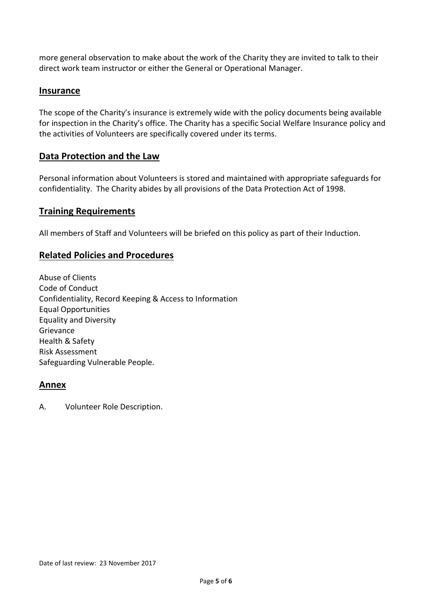more general observation to make about the work of the Charity they are invited to talk to their direct work team instructor or either the General or Operational Manager.

#### **Insurance**

The scope of the Charity's insurance is extremely wide with the policy documents being available for inspection in the Charity's office. The Charity has a specific Social Welfare Insurance policy and the activities of Volunteers are specifically covered under its terms.

### **Data Protection and the Law**

Personal information about Volunteers is stored and maintained with appropriate safeguards for confidentiality. The Charity abides by all provisions of the Data Protection Act of 1998.

#### **Training Requirements**

All members of Staff and Volunteers will be briefed on this policy as part of their Induction.

### **Related Policies and Procedures**

Abuse of Clients Code of Conduct Confidentiality, Record Keeping & Access to Information Equal Opportunities Equality and Diversity Grievance Health & Safety Risk Assessment Safeguarding Vulnerable People.

#### **Annex**

A. Volunteer Role Description.